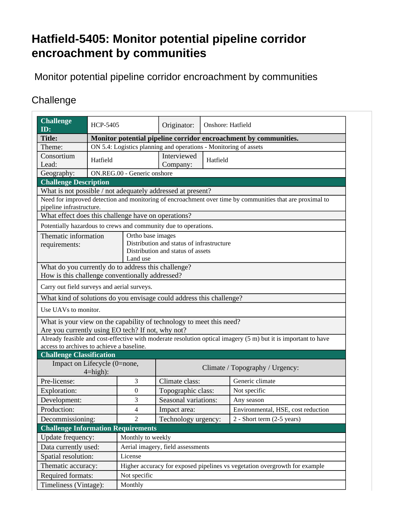## **Hatfield-5405: Monitor potential pipeline corridor encroachment by communities**

Monitor potential pipeline corridor encroachment by communities

## **Challenge**

| <b>Challenge</b><br>ID:                                                                                      | <b>HCP-5405</b>                                                            |                                                                  | Originator:          | Onshore: Hatfield |                                                                                                                |  |  |
|--------------------------------------------------------------------------------------------------------------|----------------------------------------------------------------------------|------------------------------------------------------------------|----------------------|-------------------|----------------------------------------------------------------------------------------------------------------|--|--|
| <b>Title:</b>                                                                                                | Monitor potential pipeline corridor encroachment by communities.           |                                                                  |                      |                   |                                                                                                                |  |  |
| Theme:                                                                                                       |                                                                            | ON 5.4: Logistics planning and operations - Monitoring of assets |                      |                   |                                                                                                                |  |  |
| Consortium                                                                                                   | Hatfield                                                                   |                                                                  | Interviewed          | Hatfield          |                                                                                                                |  |  |
| Lead:                                                                                                        |                                                                            |                                                                  | Company:             |                   |                                                                                                                |  |  |
| Geography:                                                                                                   | ON.REG.00 - Generic onshore                                                |                                                                  |                      |                   |                                                                                                                |  |  |
| <b>Challenge Description</b>                                                                                 |                                                                            |                                                                  |                      |                   |                                                                                                                |  |  |
| What is not possible / not adequately addressed at present?                                                  |                                                                            |                                                                  |                      |                   |                                                                                                                |  |  |
| pipeline infrastructure.                                                                                     |                                                                            |                                                                  |                      |                   | Need for improved detection and monitoring of encroachment over time by communities that are proximal to       |  |  |
| What effect does this challenge have on operations?                                                          |                                                                            |                                                                  |                      |                   |                                                                                                                |  |  |
|                                                                                                              |                                                                            |                                                                  |                      |                   |                                                                                                                |  |  |
| Potentially hazardous to crews and community due to operations.<br>Thematic information<br>Ortho base images |                                                                            |                                                                  |                      |                   |                                                                                                                |  |  |
| requirements:                                                                                                |                                                                            | Distribution and status of infrastructure                        |                      |                   |                                                                                                                |  |  |
|                                                                                                              |                                                                            | Distribution and status of assets                                |                      |                   |                                                                                                                |  |  |
|                                                                                                              |                                                                            | Land use                                                         |                      |                   |                                                                                                                |  |  |
| What do you currently do to address this challenge?                                                          |                                                                            |                                                                  |                      |                   |                                                                                                                |  |  |
| How is this challenge conventionally addressed?                                                              |                                                                            |                                                                  |                      |                   |                                                                                                                |  |  |
| Carry out field surveys and aerial surveys.                                                                  |                                                                            |                                                                  |                      |                   |                                                                                                                |  |  |
| What kind of solutions do you envisage could address this challenge?                                         |                                                                            |                                                                  |                      |                   |                                                                                                                |  |  |
| Use UAVs to monitor.                                                                                         |                                                                            |                                                                  |                      |                   |                                                                                                                |  |  |
| What is your view on the capability of technology to meet this need?                                         |                                                                            |                                                                  |                      |                   |                                                                                                                |  |  |
| Are you currently using EO tech? If not, why not?                                                            |                                                                            |                                                                  |                      |                   | Already feasible and cost-effective with moderate resolution optical imagery (5 m) but it is important to have |  |  |
| access to archives to achieve a baseline.                                                                    |                                                                            |                                                                  |                      |                   |                                                                                                                |  |  |
| <b>Challenge Classification</b>                                                                              |                                                                            |                                                                  |                      |                   |                                                                                                                |  |  |
| Impact on Lifecycle (0=none,                                                                                 |                                                                            | Climate / Topography / Urgency:                                  |                      |                   |                                                                                                                |  |  |
|                                                                                                              | $4 = high$ :                                                               |                                                                  |                      |                   |                                                                                                                |  |  |
| Pre-license:                                                                                                 |                                                                            | 3                                                                | Climate class:       |                   | Generic climate                                                                                                |  |  |
| Exploration:                                                                                                 |                                                                            | $\boldsymbol{0}$                                                 | Topographic class:   |                   | Not specific                                                                                                   |  |  |
| Development:                                                                                                 |                                                                            | 3                                                                | Seasonal variations: |                   | Any season                                                                                                     |  |  |
| Production:                                                                                                  |                                                                            | 4                                                                | Impact area:         |                   | Environmental, HSE, cost reduction                                                                             |  |  |
| Decommissioning:                                                                                             |                                                                            | $\overline{2}$                                                   | Technology urgency:  |                   | $2 - Short term (2-5 years)$                                                                                   |  |  |
| <b>Challenge Information Requirements</b>                                                                    |                                                                            |                                                                  |                      |                   |                                                                                                                |  |  |
| Update frequency:                                                                                            |                                                                            | Monthly to weekly                                                |                      |                   |                                                                                                                |  |  |
| Data currently used:                                                                                         |                                                                            | Aerial imagery, field assessments                                |                      |                   |                                                                                                                |  |  |
| Spatial resolution:                                                                                          |                                                                            | License                                                          |                      |                   |                                                                                                                |  |  |
| Thematic accuracy:                                                                                           | Higher accuracy for exposed pipelines vs vegetation overgrowth for example |                                                                  |                      |                   |                                                                                                                |  |  |
| Required formats:<br>Not specific                                                                            |                                                                            |                                                                  |                      |                   |                                                                                                                |  |  |
| Timeliness (Vintage):                                                                                        | Monthly                                                                    |                                                                  |                      |                   |                                                                                                                |  |  |